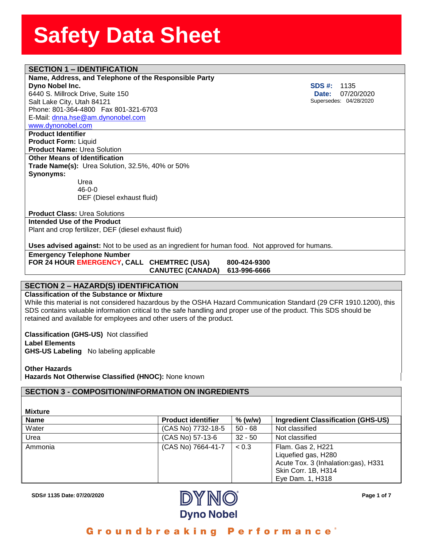### **SECTION 1 – IDENTIFICATION**

#### **Name, Address, and Telephon**<br>**Dyno Nobel Inc.**<br>6440 S. Millrock Drive, Suite 150 **Name, Address, and Telephone of the Responsible Party Dyno Nobel Inc.**

Salt Lake City, Utah 84121 Phone: 801-364-4800 Fax 801-321-6703 E-Mail: [dnna.hse@am.dynonobel.com](mailto:dnna.hse@am.dynonobel.com) 

[www.dynonobel.com](http://www.dynonobel.com/)

**Product Identifier Product Form:** Liquid **Product Name:** Urea Solution **Other Means of Identification Trade Name(s):** Urea Solution, 32.5%, 40% or 50% **Synonyms:**  Urea

46-0-0 DEF (Diesel exhaust fluid)

**Product Class:** Urea Solutions

**Intended Use of the Product** Plant and crop fertilizer, DEF (diesel exhaust fluid)

**Uses advised against:** Not to be used as an ingredient for human food. Not approved for humans.

**Emergency Telephone Number FOR 24 HOUR EMERGENCY, CALL CHEMTREC (USA) 800-424-9300**

 **CANUTEC (CANADA) 613-996-6666**

#### **SECTION 2 – HAZARD(S) IDENTIFICATION**

#### **Classification of the Substance or Mixture**

While this material is not considered hazardous by the OSHA Hazard Communication Standard (29 CFR 1910.1200), this SDS contains valuable information critical to the safe handling and proper use of the product. This SDS should be retained and available for employees and other users of the product.

**Classification (GHS-US)** Not classified **Label Elements GHS-US Labeling** No labeling applicable

**Other Hazards Hazards Not Otherwise Classified (HNOC):** None known

#### **SECTION 3 - COMPOSITION/INFORMATION ON INGREDIENTS**

| <b>Mixture</b> |                           |           |                                                                                                                            |
|----------------|---------------------------|-----------|----------------------------------------------------------------------------------------------------------------------------|
| <b>Name</b>    | <b>Product identifier</b> | $%$ (w/w) | Ingredient Classification (GHS-US)                                                                                         |
| Water          | (CAS No) 7732-18-5        | $50 - 68$ | Not classified                                                                                                             |
| Urea           | (CAS No) 57-13-6          | $32 - 50$ | Not classified                                                                                                             |
| Ammonia        | (CAS No) 7664-41-7        | < 0.3     | Flam. Gas 2, H221<br>Liquefied gas, H280<br>Acute Tox. 3 (Inhalation:gas), H331<br>Skin Corr. 1B, H314<br>Eye Dam. 1, H318 |



Groundbreaking Performance<sup>®</sup>

**SDS #:** 1135  **Date:** 07/20/2020 Supersedes: 04/28/2020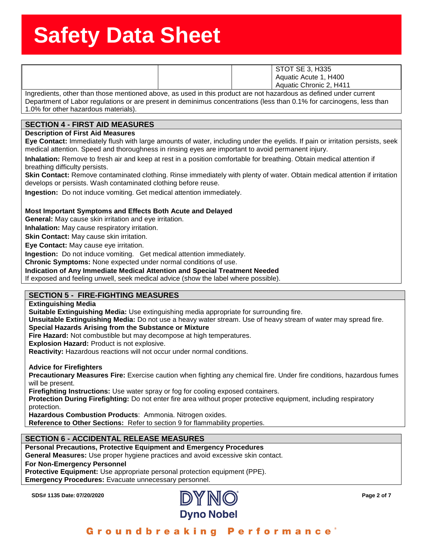|                                                                                                                   | <b>STOT SE 3, H335</b>  |
|-------------------------------------------------------------------------------------------------------------------|-------------------------|
|                                                                                                                   | Aquatic Acute 1, H400   |
|                                                                                                                   | Aquatic Chronic 2, H411 |
| Ingredients, other than those mentioned above, as used in this product are not hazardous as defined under current |                         |

Department of Labor regulations or are present in deminimus concentrations (less than 0.1% for carcinogens, less than 1.0% for other hazardous materials).

### **SECTION 4 - FIRST AID MEASURES**

**Description of First Aid Measures**

**Eye Contact:** Immediately flush with large amounts of water, including under the eyelids. If pain or irritation persists, seek medical attention. Speed and thoroughness in rinsing eyes are important to avoid permanent injury.

**Inhalation:** Remove to fresh air and keep at rest in a position comfortable for breathing. Obtain medical attention if breathing difficulty persists.

**Skin Contact:** Remove contaminated clothing. Rinse immediately with plenty of water. Obtain medical attention if irritation develops or persists. Wash contaminated clothing before reuse.

**Ingestion:** Do not induce vomiting. Get medical attention immediately.

#### **Most Important Symptoms and Effects Both Acute and Delayed**

**General:** May cause skin irritation and eye irritation.

**Inhalation:** May cause respiratory irritation.

**Skin Contact:** May cause skin irritation.

**Eye Contact:** May cause eye irritation.

**Ingestion:** Do not induce vomiting. Get medical attention immediately.

**Chronic Symptoms:** None expected under normal conditions of use.

#### **Indication of Any Immediate Medical Attention and Special Treatment Needed**

If exposed and feeling unwell, seek medical advice (show the label where possible).

#### **SECTION 5 - FIRE-FIGHTING MEASURES**

**Extinguishing Media**

**Suitable Extinguishing Media:** Use extinguishing media appropriate for surrounding fire.

**Unsuitable Extinguishing Media:** Do not use a heavy water stream. Use of heavy stream of water may spread fire.

#### **Special Hazards Arising from the Substance or Mixture**

**Fire Hazard:** Not combustible but may decompose at high temperatures.

**Explosion Hazard:** Product is not explosive.

**Reactivity:** Hazardous reactions will not occur under normal conditions.

**Advice for Firefighters**

**Precautionary Measures Fire:** Exercise caution when fighting any chemical fire. Under fire conditions, hazardous fumes will be present.

**Firefighting Instructions:** Use water spray or fog for cooling exposed containers.

**Protection During Firefighting:** Do not enter fire area without proper protective equipment, including respiratory protection.

**Hazardous Combustion Products**: Ammonia. Nitrogen oxides.

**Reference to Other Sections:** Refer to section 9 for flammability properties.

#### **SECTION 6 - ACCIDENTAL RELEASE MEASURES**

**Personal Precautions, Protective Equipment and Emergency Procedures**

**General Measures:** Use proper hygiene practices and avoid excessive skin contact.

**For Non-Emergency Personnel**

**Protective Equipment:** Use appropriate personal protection equipment (PPE).

**Emergency Procedures:** Evacuate unnecessary personnel.

**SDS# 1135 Date: 07/20/2020 Page 2 of 7**



#### **Performance** Groundbreaking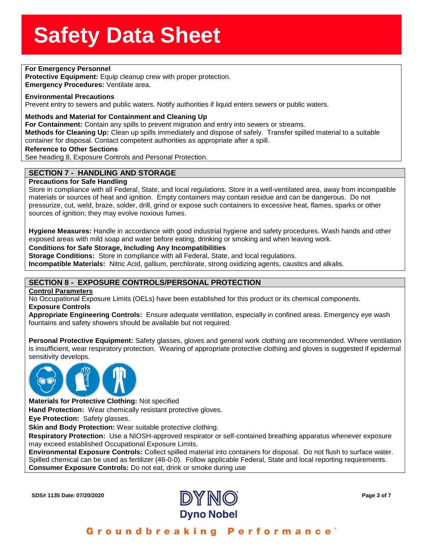### **For Emergency Personnel & SherrSheet SherrSheet SherrSheet SherrSheet SherrSheet SherrSheet SherrSheet SherrSheet**<br>Primary SherrSheet SherrSheet SherrSheet SherrSheet SherrSheet SherrSheet SherrSheet SherrSheet SherrSheet

**Protective Equipment:** Equip cleanup crew with proper protection.

**ptective Equipment:** Equip<br>**hergency Procedures:** Ven<br>vironmental Precautions **Emergency Procedures:** Ventilate area.

#### **Environmental Precautions**

Prevent entry to sewers and public waters. Notify authorities if liquid enters sewers or public waters.

#### **Methods and Material for Containment and Cleaning Up**

**For Containment:** Contain any spills to prevent migration and entry into sewers or streams.

**Methods for Cleaning Up:** Clean up spills immediately and dispose of safely. Transfer spilled material to a suitable container for disposal. Contact competent authorities as appropriate after a spill.

#### **Reference to Other Sections**

See heading 8, Exposure Controls and Personal Protection..

#### **SECTION 7 - HANDLING AND STORAGE**

#### **Precautions for Safe Handling**

Store in compliance with all Federal, State, and local regulations. Store in a well-ventilated area, away from incompatible materials or sources of heat and ignition. Empty containers may contain residue and can be dangerous. Do not pressurize, cut, weld, braze, solder, drill, grind or expose such containers to excessive heat, flames, sparks or other sources of ignition; they may evolve noxious fumes.

**Hygiene Measures:** Handle in accordance with good industrial hygiene and safety procedures. Wash hands and other exposed areas with mild soap and water before eating, drinking or smoking and when leaving work.

#### **Conditions for Safe Storage, Including Any Incompatibilities**

**Storage Conditions:** Store in compliance with all Federal, State, and local regulations.

**Incompatible Materials:** Nitric Acid, gallium, perchlorate, strong oxidizing agents, caustics and alkalis.

#### **SECTION 8 - EXPOSURE CONTROLS/PERSONAL PROTECTION**

#### **Control Parameters**

No Occupational Exposure Limits (OELs) have been established for this product or its chemical components. **Exposure Controls**

**Appropriate Engineering Controls:** Ensure adequate ventilation, especially in confined areas. Emergency eye wash fountains and safety showers should be available but not required.

**Personal Protective Equipment:** Safety glasses, gloves and general work clothing are recommended. Where ventilation is insufficient, wear respiratory protection. Wearing of appropriate protective clothing and gloves is suggested if epidermal sensitivity develops.



**Materials for Protective Clothing:** Not specified

**Hand Protection:** Wear chemically resistant protective gloves.

**Eye Protection:** Safety glasses.

**Skin and Body Protection:** Wear suitable protective clothing.

**Respiratory Protection:** Use a NIOSH-approved respirator or self-contained breathing apparatus whenever exposure may exceed established Occupational Exposure Limits.

**Environmental Exposure Controls:** Collect spilled material into containers for disposal. Do not flush to surface water. Spilled chemical can be used as fertilizer (46-0-0). Follow applicable Federal, State and local reporting requirements. **Consumer Exposure Controls:** Do not eat, drink or smoke during use

**SDS# 1135 Date: 07/20/2020 Page 3 of 7**

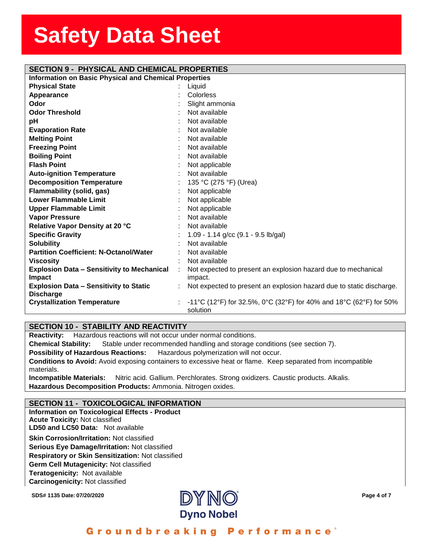| <b>SECTION 9 - PHYSICAL AND CHEMICAL PROPERTIES</b>          |  |                                                                                      |  |  |  |
|--------------------------------------------------------------|--|--------------------------------------------------------------------------------------|--|--|--|
| <b>Information on Basic Physical and Chemical Properties</b> |  |                                                                                      |  |  |  |
| <b>Physical State</b>                                        |  | Liquid                                                                               |  |  |  |
| Appearance                                                   |  | Colorless                                                                            |  |  |  |
| Odor                                                         |  | Slight ammonia                                                                       |  |  |  |
| <b>Odor Threshold</b>                                        |  | Not available                                                                        |  |  |  |
| pH                                                           |  | Not available                                                                        |  |  |  |
| <b>Evaporation Rate</b>                                      |  | Not available                                                                        |  |  |  |
| <b>Melting Point</b>                                         |  | Not available                                                                        |  |  |  |
| <b>Freezing Point</b>                                        |  | Not available                                                                        |  |  |  |
| <b>Boiling Point</b>                                         |  | Not available                                                                        |  |  |  |
| <b>Flash Point</b>                                           |  | Not applicable                                                                       |  |  |  |
| <b>Auto-ignition Temperature</b>                             |  | Not available                                                                        |  |  |  |
| <b>Decomposition Temperature</b>                             |  | 135 °C (275 °F) (Urea)                                                               |  |  |  |
| Flammability (solid, gas)                                    |  | Not applicable                                                                       |  |  |  |
| <b>Lower Flammable Limit</b>                                 |  | Not applicable                                                                       |  |  |  |
| <b>Upper Flammable Limit</b>                                 |  | Not applicable                                                                       |  |  |  |
| <b>Vapor Pressure</b>                                        |  | Not available                                                                        |  |  |  |
| Relative Vapor Density at 20 °C                              |  | Not available                                                                        |  |  |  |
| <b>Specific Gravity</b>                                      |  | 1.09 - 1.14 $g/cc$ (9.1 - 9.5 lb/gal)                                                |  |  |  |
| <b>Solubility</b>                                            |  | Not available                                                                        |  |  |  |
| <b>Partition Coefficient: N-Octanol/Water</b>                |  | Not available                                                                        |  |  |  |
| <b>Viscosity</b>                                             |  | Not available                                                                        |  |  |  |
| <b>Explosion Data - Sensitivity to Mechanical</b>            |  | Not expected to present an explosion hazard due to mechanical                        |  |  |  |
| Impact                                                       |  | impact.                                                                              |  |  |  |
| <b>Explosion Data - Sensitivity to Static</b>                |  | Not expected to present an explosion hazard due to static discharge.                 |  |  |  |
| <b>Discharge</b>                                             |  |                                                                                      |  |  |  |
| <b>Crystallization Temperature</b>                           |  | -11 °C (12 °F) for 32.5%, 0 °C (32 °F) for 40% and 18 °C (62 °F) for 50%<br>solution |  |  |  |
|                                                              |  |                                                                                      |  |  |  |

#### **SECTION 10 - STABILITY AND REACTIVITY**

**Reactivity:** Hazardous reactions will not occur under normal conditions.

**Chemical Stability:** Stable under recommended handling and storage conditions (see section 7).

**Possibility of Hazardous Reactions:** Hazardous polymerization will not occur.

**Conditions to Avoid:** Avoid exposing containers to excessive heat or flame. Keep separated from incompatible materials.

**Incompatible Materials:** Nitric acid. Gallium. Perchlorates. Strong oxidizers. Caustic products. Alkalis. **Hazardous Decomposition Products:** Ammonia. Nitrogen oxides.

#### **SECTION 11 - TOXICOLOGICAL INFORMATION**

**Information on Toxicological Effects - Product Acute Toxicity:** Not classified **LD50 and LC50 Data:** Not available**Skin Corrosion/Irritation:** Not classified **Serious Eye Damage/Irritation:** Not classified **Respiratory or Skin Sensitization:** Not classified **Germ Cell Mutagenicity:** Not classified**Teratogenicity:** Not available**Carcinogenicity:** Not classified

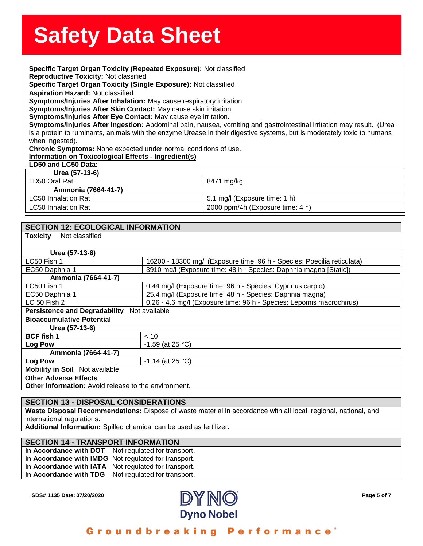**Specific Target Organ Toxicity (Repeated Exposure):** Not classified<br>**Specific Target Organ Toxicity (Repeated Exposure):** Not classified **Reproductive Toxicity:** Not classified<br><mark>Specific Target Organ Toxicity (Single Exposure):</mark> Not classified<br><mark>Aspiration Hazard:</mark> Not classified **Reproductive Toxicity:** Not classified **Aspiration Hazard:** Not classified **Symptoms/Injuries After Inhalation:** May cause respiratory irritation. **Symptoms/Injuries After Skin Contact:** May cause skin irritation. **Symptoms/Injuries After Eye Contact:** May cause eye irritation. **Symptoms/Injuries After Ingestion:** Abdominal pain, nausea, vomiting and gastrointestinal irritation may result. (Urea is a protein to ruminants, animals with the enzyme Urease in their digestive systems, but is moderately toxic to humans when ingested).

**Chronic Symptoms:** None expected under normal conditions of use.

**Information on Toxicological Effects - Ingredient(s)**

#### **LD50 and LC50 Data:**

**Urea (57-13-6)**

| LD50 Oral Rat       | 8471 mg/kg                       |  |
|---------------------|----------------------------------|--|
| Ammonia (7664-41-7) |                                  |  |
| LC50 Inhalation Rat | 5.1 mg/l (Exposure time: 1 h)    |  |
| LC50 Inhalation Rat | 2000 ppm/4h (Exposure time: 4 h) |  |

#### **SECTION 12: ECOLOGICAL INFORMATION**

| <b>Toxicity</b><br>Not classified                           |                                                                         |  |  |
|-------------------------------------------------------------|-------------------------------------------------------------------------|--|--|
| Urea (57-13-6)                                              |                                                                         |  |  |
| LC50 Fish 1                                                 | 16200 - 18300 mg/l (Exposure time: 96 h - Species: Poecilia reticulata) |  |  |
| EC50 Daphnia 1                                              | 3910 mg/l (Exposure time: 48 h - Species: Daphnia magna [Static])       |  |  |
| Ammonia (7664-41-7)                                         |                                                                         |  |  |
| LC50 Fish 1                                                 | 0.44 mg/l (Exposure time: 96 h - Species: Cyprinus carpio)              |  |  |
| EC50 Daphnia 1                                              | 25.4 mg/l (Exposure time: 48 h - Species: Daphnia magna)                |  |  |
| $LC$ 50 Fish 2                                              | 0.26 - 4.6 mg/l (Exposure time: 96 h - Species: Lepomis macrochirus)    |  |  |
| Persistence and Degradability Not available                 |                                                                         |  |  |
| <b>Bioaccumulative Potential</b>                            |                                                                         |  |  |
| Urea (57-13-6)                                              |                                                                         |  |  |
| <b>BCF</b> fish 1                                           | ~< 10                                                                   |  |  |
| Log Pow                                                     | $-1.59$ (at 25 °C)                                                      |  |  |
| Ammonia (7664-41-7)                                         |                                                                         |  |  |
| <b>Log Pow</b>                                              | $-1.14$ (at 25 °C)                                                      |  |  |
| <b>Mobility in Soil</b> Not available                       |                                                                         |  |  |
| <b>Other Adverse Effects</b>                                |                                                                         |  |  |
| <b>Other Information:</b> Avoid release to the environment. |                                                                         |  |  |

#### **SECTION 13 - DISPOSAL CONSIDERATIONS**

**Waste Disposal Recommendations:** Dispose of waste material in accordance with all local, regional, national, and international regulations.

**Additional Information:** Spilled chemical can be used as fertilizer.

#### **SECTION 14 - TRANSPORT INFORMATION**

**In Accordance with DOT** Not regulated for transport. **In Accordance with IMDG** Not regulated for transport. **In Accordance with IATA** Not regulated for transport. **In Accordance with TDG** Not regulated for transport.

**SDS# 1135 Date: 07/20/2020 Page 5 of 7**

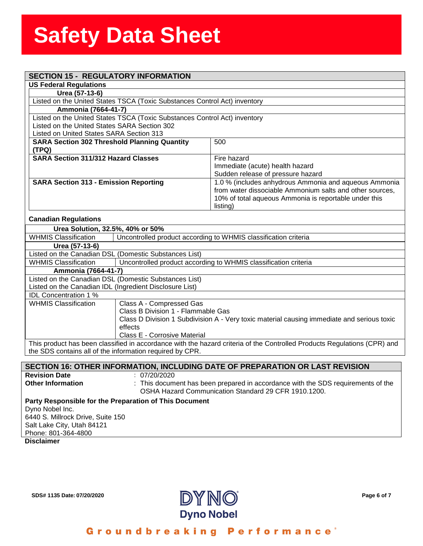### assess State State State State State State State State State State State State State State State State State S<br>State State State State State State State State State State State State State State State State State State St **SECTION 15 - REGULATORY INFORMATION**

| SECTION 13 - REGULATURT INFORMATION                                                            |                                                                           |                                                          |  |  |  |
|------------------------------------------------------------------------------------------------|---------------------------------------------------------------------------|----------------------------------------------------------|--|--|--|
| <b>US Federal Regulations</b>                                                                  |                                                                           |                                                          |  |  |  |
| Urea (57-13-6)                                                                                 |                                                                           |                                                          |  |  |  |
|                                                                                                | Listed on the United States TSCA (Toxic Substances Control Act) inventory |                                                          |  |  |  |
| Ammonia (7664-41-7)                                                                            |                                                                           |                                                          |  |  |  |
|                                                                                                | Listed on the United States TSCA (Toxic Substances Control Act) inventory |                                                          |  |  |  |
| Listed on the United States SARA Section 302                                                   |                                                                           |                                                          |  |  |  |
| Listed on United States SARA Section 313                                                       |                                                                           |                                                          |  |  |  |
| <b>SARA Section 302 Threshold Planning Quantity</b><br>(TPQ)                                   |                                                                           | 500                                                      |  |  |  |
| <b>SARA Section 311/312 Hazard Classes</b>                                                     |                                                                           | Fire hazard                                              |  |  |  |
|                                                                                                |                                                                           | Immediate (acute) health hazard                          |  |  |  |
|                                                                                                |                                                                           | Sudden release of pressure hazard                        |  |  |  |
| <b>SARA Section 313 - Emission Reporting</b>                                                   |                                                                           | 1.0 % (includes anhydrous Ammonia and aqueous Ammonia    |  |  |  |
|                                                                                                |                                                                           | from water dissociable Ammonium salts and other sources, |  |  |  |
|                                                                                                |                                                                           | 10% of total aqueous Ammonia is reportable under this    |  |  |  |
|                                                                                                |                                                                           | listing)                                                 |  |  |  |
| <b>Canadian Regulations</b>                                                                    |                                                                           |                                                          |  |  |  |
| Urea Solution, 32.5%, 40% or 50%                                                               |                                                                           |                                                          |  |  |  |
| <b>WHMIS Classification</b><br>Uncontrolled product according to WHMIS classification criteria |                                                                           |                                                          |  |  |  |
| Urea (57-13-6)                                                                                 |                                                                           |                                                          |  |  |  |
| Listed on the Canadian DSL (Domestic Substances List)                                          |                                                                           |                                                          |  |  |  |
| <b>WHMIS Classification</b>                                                                    | Uncontrolled product according to WHMIS classification criteria           |                                                          |  |  |  |
| Ammonia (7664-41-7)                                                                            |                                                                           |                                                          |  |  |  |
| Listed on the Canadian DSL (Domestic Substances List)                                          |                                                                           |                                                          |  |  |  |
| Listed on the Canadian IDL (Ingredient Disclosure List)                                        |                                                                           |                                                          |  |  |  |
| <b>IDL Concentration 1 %</b>                                                                   |                                                                           |                                                          |  |  |  |
| <b>WHMIS Classification</b>                                                                    | Class A - Compressed Gas                                                  |                                                          |  |  |  |
| Class B Division 1 - Flammable Gas                                                             |                                                                           |                                                          |  |  |  |

Class D Division 1 Subdivision A - Very toxic material causing immediate and serious toxic effects Class E - Corrosive Material

This product has been classified in accordance with the hazard criteria of the Controlled Products Regulations (CPR) and the SDS contains all of the information required by CPR.

#### **SECTION 16: OTHER INFORMATION, INCLUDING DATE OF PREPARATION OR LAST REVISION**

**Revision Date** : 07/20/2020<br> **Other Information** : This docum **Other Information** : This document has been prepared in accordance with the SDS requirements of the OSHA Hazard Communication Standard 29 CFR 1910.1200. **Party Responsible for the Preparation of This Document** 

Dyno Nobel Inc. 6440 S. Millrock Drive, Suite 150 Salt Lake City, Utah 84121 Phone: 801-364-4800

**Disclaimer**